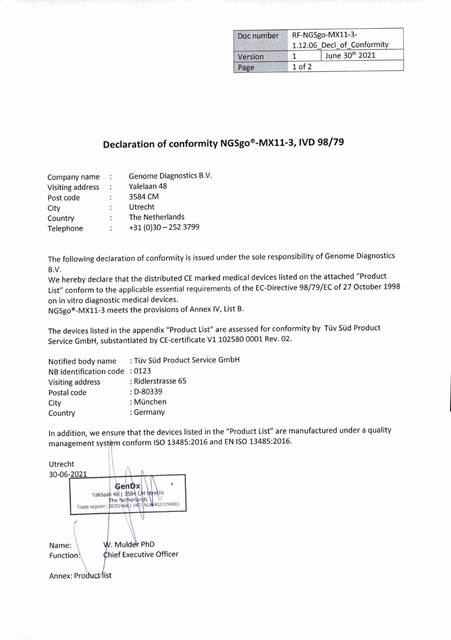| Doc number | RF-NGSgo-MX11-3-<br>1.12.06 Decl_of_Conformity |                |
|------------|------------------------------------------------|----------------|
|            |                                                |                |
| Version    |                                                | June 30th 2021 |
| Page       | $1$ of $2$                                     |                |

## **Declaration of conformity NGSgo®-MX11-3, IVD 98/79**

| $\ddot{\cdot}$       | Genome Diagnostics B.V. |
|----------------------|-------------------------|
| $\ddot{\phantom{a}}$ | Yalelaan 48             |
|                      | 3584 CM                 |
| ÷                    | Utrecht                 |
| :                    | The Netherlands         |
|                      | $+31(0)30 - 2523799$    |
|                      |                         |

The following declaration of conformity is issued under the sole responsibility of Genome Diagnostics B.V.

We hereby declare that the distributed CE marked medical devices listed on the attached "Product List" conform to the applicable essential requirements of the EC-Directive 98/79/EC of 27 October 1998 on in vitro diagnostic medical devices.

NGSgo®-MX11-3 meets the provisions of Annex IV, List B.

The devices listed in the appendix "Product List" are assessed for conformity by Tüv Süd Product Service GmbH, substantiated by CE-certificate Vi 102580 0001 Rev. 02.

| Notified body name      | : Tüv Süd Product Service GmbH |
|-------------------------|--------------------------------|
| NB identification code  | :0123                          |
| <b>Visiting address</b> | : Ridlerstrasse 65             |
| Postal code             | $: D - 80339$                  |
| City                    | : München                      |
| Country                 | : Germany                      |

In addition, we ensure that the devices listed in the "Product List" are manufactured under a quality management system conform ISO 13485:2016 and EN ISO 13485:2016.

Utrecht 30-06-2021 GenDx J Yalelaan 48 | 3584 CM Utrecht Trade register: \$0202468 | VAT: NL844323194801 Name: W. Mulder PhD Function.  $\phi$ hief Executive Officer Annex: Product/list